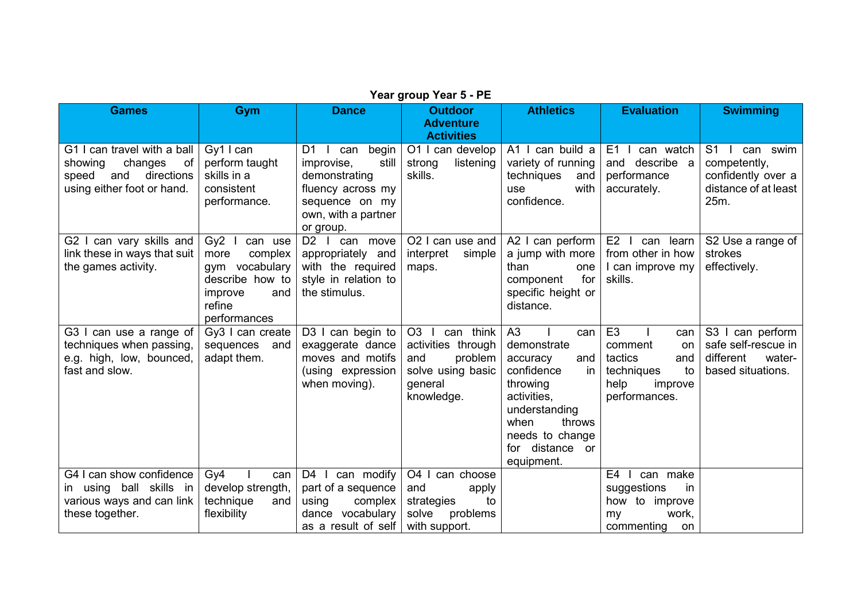| <b>Games</b>                                                                                                        | Gym                                                                                                                            | <b>Dance</b>                                                                                                                          | <b>Outdoor</b><br><b>Adventure</b><br><b>Activities</b>                                                           | <b>Athletics</b>                                                                                                                                                                                    | <b>Evaluation</b>                                                                                                | <b>Swimming</b>                                                                          |
|---------------------------------------------------------------------------------------------------------------------|--------------------------------------------------------------------------------------------------------------------------------|---------------------------------------------------------------------------------------------------------------------------------------|-------------------------------------------------------------------------------------------------------------------|-----------------------------------------------------------------------------------------------------------------------------------------------------------------------------------------------------|------------------------------------------------------------------------------------------------------------------|------------------------------------------------------------------------------------------|
| G1 I can travel with a ball<br>of<br>changes<br>showing<br>and<br>directions<br>speed<br>using either foot or hand. | Gy1 I can<br>perform taught<br>skills in a<br>consistent<br>performance.                                                       | D1<br>begin<br>can<br>still<br>improvise,<br>demonstrating<br>fluency across my<br>sequence on my<br>own, with a partner<br>or group. | O1 I can develop<br>listening<br>strong<br>skills.                                                                | A1 I can build a<br>variety of running<br>techniques<br>and<br>with<br>use<br>confidence.                                                                                                           | E1<br>can watch<br>and describe a<br>performance<br>accurately.                                                  | $S1$  <br>can swim<br>competently,<br>confidently over a<br>distance of at least<br>25m. |
| G2 I can vary skills and<br>link these in ways that suit<br>the games activity.                                     | Gy <sub>2</sub><br>can use<br>complex<br>more<br>gym vocabulary<br>describe how to<br>improve<br>and<br>refine<br>performances | D2 I can move<br>appropriately and<br>with the required<br>style in relation to<br>the stimulus.                                      | O2 I can use and<br>interpret<br>simple<br>maps.                                                                  | A2 I can perform<br>a jump with more<br>than<br>one<br>for<br>component<br>specific height or<br>distance.                                                                                          | $E2$  <br>can learn<br>from other in how<br>I can improve my<br>skills.                                          | S2 Use a range of<br>strokes<br>effectively.                                             |
| G3 I can use a range of<br>techniques when passing,<br>e.g. high, low, bounced,<br>fast and slow.                   | Gy3 I can create<br>sequences<br>and<br>adapt them.                                                                            | D3 I can begin to<br>exaggerate dance<br>moves and motifs<br>(using expression<br>when moving).                                       | O <sub>3</sub><br>can think<br>activities through<br>problem<br>and<br>solve using basic<br>general<br>knowledge. | A <sub>3</sub><br>can<br>demonstrate<br>and<br>accuracy<br>confidence<br>in<br>throwing<br>activities,<br>understanding<br>throws<br>when<br>needs to change<br>distance<br>for<br>or<br>equipment. | E <sub>3</sub><br>can<br>comment<br>on<br>tactics<br>and<br>techniques<br>to<br>help<br>improve<br>performances. | S3 I can perform<br>safe self-rescue in<br>different<br>water-<br>based situations.      |
| G4 I can show confidence<br>in using ball skills in<br>various ways and can link<br>these together.                 | Gv4<br>can<br>develop strength,<br>technique<br>and<br>flexibility                                                             | $D4$  <br>can modify<br>part of a sequence<br>complex<br>using<br>dance vocabulary<br>as a result of self                             | O4 I<br>can choose<br>and<br>apply<br>strategies<br>to<br>solve<br>problems<br>with support.                      |                                                                                                                                                                                                     | E <sub>4</sub><br>can make<br>suggestions<br>in<br>how to improve<br>work,<br>my<br>commenting<br>on             |                                                                                          |

## **Year group Year 5 - PE**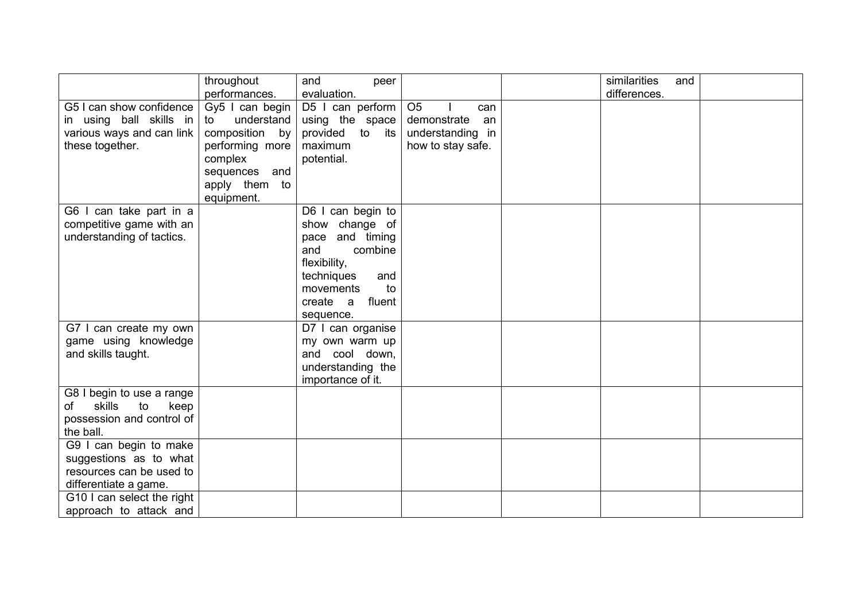|                            | throughout<br>performances. | and<br>peer<br>evaluation. |                       | similarities<br>and<br>differences. |  |
|----------------------------|-----------------------------|----------------------------|-----------------------|-------------------------------------|--|
| G5 I can show confidence   | Gy5 $\mid$ can begin        | D5 I can perform           | O <sub>5</sub><br>can |                                     |  |
| in using ball skills in    | understand<br>to            | using the space            | demonstrate<br>an     |                                     |  |
| various ways and can link  | composition by              | provided to<br>its         | understanding in      |                                     |  |
| these together.            | performing more             | maximum                    | how to stay safe.     |                                     |  |
|                            | complex                     | potential.                 |                       |                                     |  |
|                            | sequences and               |                            |                       |                                     |  |
|                            | apply them to               |                            |                       |                                     |  |
|                            | equipment.                  |                            |                       |                                     |  |
| G6 I can take part in a    |                             | D6 I can begin to          |                       |                                     |  |
| competitive game with an   |                             | show change of             |                       |                                     |  |
| understanding of tactics.  |                             | pace and timing            |                       |                                     |  |
|                            |                             | combine<br>and             |                       |                                     |  |
|                            |                             | flexibility,               |                       |                                     |  |
|                            |                             | techniques<br>and          |                       |                                     |  |
|                            |                             | movements<br>to            |                       |                                     |  |
|                            |                             | create a<br>fluent         |                       |                                     |  |
|                            |                             | sequence.                  |                       |                                     |  |
| G7 I can create my own     |                             | D7 I can organise          |                       |                                     |  |
| game using knowledge       |                             | my own warm up             |                       |                                     |  |
| and skills taught.         |                             | and cool down,             |                       |                                     |  |
|                            |                             | understanding the          |                       |                                     |  |
|                            |                             | importance of it.          |                       |                                     |  |
| G8 I begin to use a range  |                             |                            |                       |                                     |  |
| skills<br>to<br>keep<br>of |                             |                            |                       |                                     |  |
| possession and control of  |                             |                            |                       |                                     |  |
| the ball.                  |                             |                            |                       |                                     |  |
| G9 I can begin to make     |                             |                            |                       |                                     |  |
| suggestions as to what     |                             |                            |                       |                                     |  |
| resources can be used to   |                             |                            |                       |                                     |  |
| differentiate a game.      |                             |                            |                       |                                     |  |
| G10 I can select the right |                             |                            |                       |                                     |  |
| approach to attack and     |                             |                            |                       |                                     |  |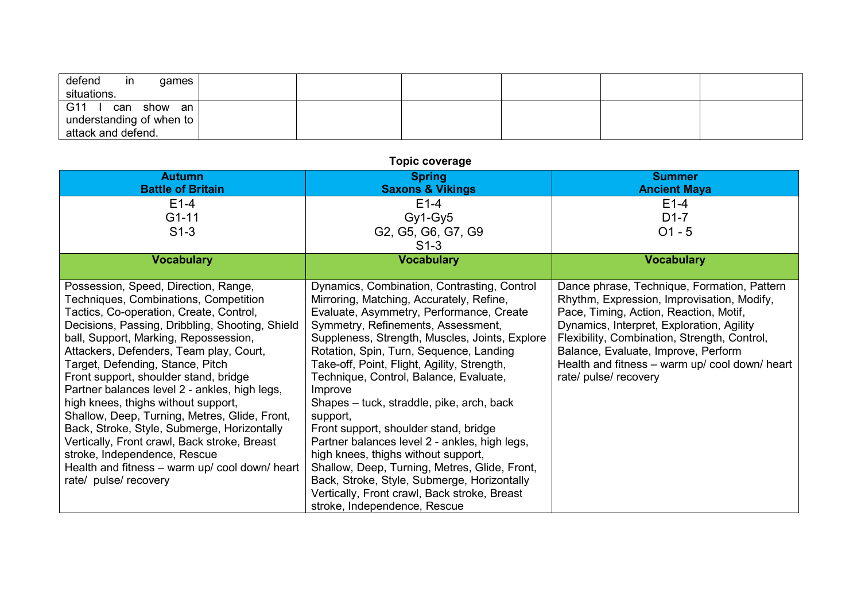| defend<br>in<br>qames<br>situations.           |  |  |  |
|------------------------------------------------|--|--|--|
| G11<br>can show an<br>understanding of when to |  |  |  |
| attack and defend.                             |  |  |  |

| <b>Topic coverage</b>                                                                                                                                                                                                                                                                                                                                                                                                                                                                                                                                                                                                                                                                           |                                                                                                                                                                                                                                                                                                                                                                                                                                                                                                                                                                                                                                                                                                                                                      |                                                                                                                                                                                                                                                                                                                                                    |  |  |  |
|-------------------------------------------------------------------------------------------------------------------------------------------------------------------------------------------------------------------------------------------------------------------------------------------------------------------------------------------------------------------------------------------------------------------------------------------------------------------------------------------------------------------------------------------------------------------------------------------------------------------------------------------------------------------------------------------------|------------------------------------------------------------------------------------------------------------------------------------------------------------------------------------------------------------------------------------------------------------------------------------------------------------------------------------------------------------------------------------------------------------------------------------------------------------------------------------------------------------------------------------------------------------------------------------------------------------------------------------------------------------------------------------------------------------------------------------------------------|----------------------------------------------------------------------------------------------------------------------------------------------------------------------------------------------------------------------------------------------------------------------------------------------------------------------------------------------------|--|--|--|
| <b>Autumn</b>                                                                                                                                                                                                                                                                                                                                                                                                                                                                                                                                                                                                                                                                                   | <b>Spring</b>                                                                                                                                                                                                                                                                                                                                                                                                                                                                                                                                                                                                                                                                                                                                        | <b>Summer</b>                                                                                                                                                                                                                                                                                                                                      |  |  |  |
| <b>Battle of Britain</b>                                                                                                                                                                                                                                                                                                                                                                                                                                                                                                                                                                                                                                                                        | <b>Saxons &amp; Vikings</b>                                                                                                                                                                                                                                                                                                                                                                                                                                                                                                                                                                                                                                                                                                                          | <b>Ancient Maya</b>                                                                                                                                                                                                                                                                                                                                |  |  |  |
| $E1-4$                                                                                                                                                                                                                                                                                                                                                                                                                                                                                                                                                                                                                                                                                          | $E1-4$                                                                                                                                                                                                                                                                                                                                                                                                                                                                                                                                                                                                                                                                                                                                               | $E1-4$                                                                                                                                                                                                                                                                                                                                             |  |  |  |
| $G1 - 11$                                                                                                                                                                                                                                                                                                                                                                                                                                                                                                                                                                                                                                                                                       | $Gy1-Gy5$                                                                                                                                                                                                                                                                                                                                                                                                                                                                                                                                                                                                                                                                                                                                            | $D1-7$                                                                                                                                                                                                                                                                                                                                             |  |  |  |
| $S1-3$                                                                                                                                                                                                                                                                                                                                                                                                                                                                                                                                                                                                                                                                                          | G2, G5, G6, G7, G9                                                                                                                                                                                                                                                                                                                                                                                                                                                                                                                                                                                                                                                                                                                                   | $O1 - 5$                                                                                                                                                                                                                                                                                                                                           |  |  |  |
|                                                                                                                                                                                                                                                                                                                                                                                                                                                                                                                                                                                                                                                                                                 | $S1-3$                                                                                                                                                                                                                                                                                                                                                                                                                                                                                                                                                                                                                                                                                                                                               |                                                                                                                                                                                                                                                                                                                                                    |  |  |  |
| <b>Vocabulary</b>                                                                                                                                                                                                                                                                                                                                                                                                                                                                                                                                                                                                                                                                               | <b>Vocabulary</b>                                                                                                                                                                                                                                                                                                                                                                                                                                                                                                                                                                                                                                                                                                                                    | <b>Vocabulary</b>                                                                                                                                                                                                                                                                                                                                  |  |  |  |
|                                                                                                                                                                                                                                                                                                                                                                                                                                                                                                                                                                                                                                                                                                 |                                                                                                                                                                                                                                                                                                                                                                                                                                                                                                                                                                                                                                                                                                                                                      |                                                                                                                                                                                                                                                                                                                                                    |  |  |  |
| Possession, Speed, Direction, Range,<br>Techniques, Combinations, Competition<br>Tactics, Co-operation, Create, Control,<br>Decisions, Passing, Dribbling, Shooting, Shield<br>ball, Support, Marking, Repossession,<br>Attackers, Defenders, Team play, Court,<br>Target, Defending, Stance, Pitch<br>Front support, shoulder stand, bridge<br>Partner balances level 2 - ankles, high legs,<br>high knees, thighs without support,<br>Shallow, Deep, Turning, Metres, Glide, Front,<br>Back, Stroke, Style, Submerge, Horizontally<br>Vertically, Front crawl, Back stroke, Breast<br>stroke, Independence, Rescue<br>Health and fitness - warm up/ cool down/ heart<br>rate/ pulse/ recovery | Dynamics, Combination, Contrasting, Control<br>Mirroring, Matching, Accurately, Refine,<br>Evaluate, Asymmetry, Performance, Create<br>Symmetry, Refinements, Assessment,<br>Suppleness, Strength, Muscles, Joints, Explore<br>Rotation, Spin, Turn, Sequence, Landing<br>Take-off, Point, Flight, Agility, Strength,<br>Technique, Control, Balance, Evaluate,<br>Improve<br>Shapes – tuck, straddle, pike, arch, back<br>support,<br>Front support, shoulder stand, bridge<br>Partner balances level 2 - ankles, high legs,<br>high knees, thighs without support,<br>Shallow, Deep, Turning, Metres, Glide, Front,<br>Back, Stroke, Style, Submerge, Horizontally<br>Vertically, Front crawl, Back stroke, Breast<br>stroke, Independence, Rescue | Dance phrase, Technique, Formation, Pattern<br>Rhythm, Expression, Improvisation, Modify,<br>Pace, Timing, Action, Reaction, Motif,<br>Dynamics, Interpret, Exploration, Agility<br>Flexibility, Combination, Strength, Control,<br>Balance, Evaluate, Improve, Perform<br>Health and fitness - warm up/ cool down/ heart<br>rate/ pulse/ recovery |  |  |  |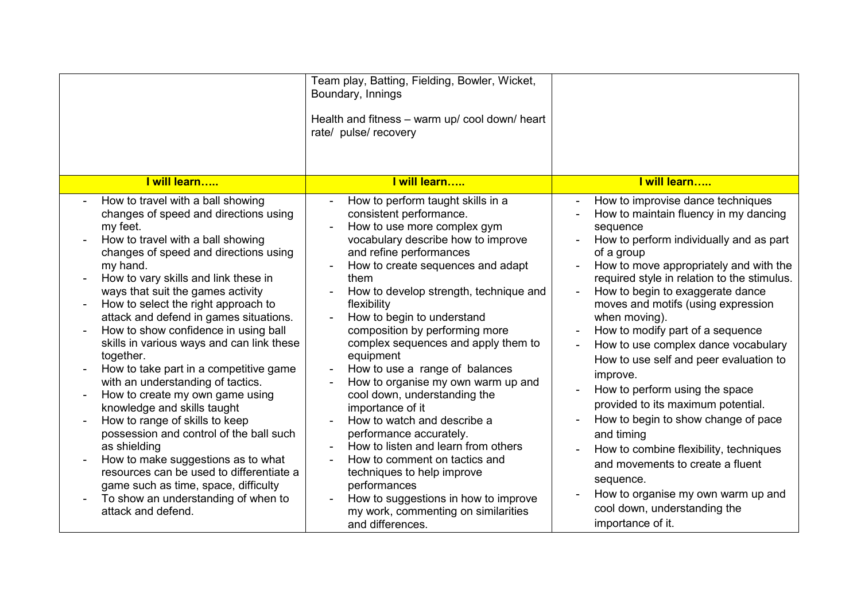|                                                                                                                                                                                                                                                                                                                                                                                                                                                                                                                                                                                                                                                                                                                                                                                                                                                                                                                                                                         | Team play, Batting, Fielding, Bowler, Wicket,<br>Boundary, Innings<br>Health and fitness - warm up/ cool down/ heart<br>rate/ pulse/ recovery                                                                                                                                                                                                                                                                                                                                                                                                                                                                                                                                                                                                                                                         |                                                                                                                                                                                                                                                                                                                                                                                                                                                                                                                                                                                                                                                                                                                                                                                                                     |
|-------------------------------------------------------------------------------------------------------------------------------------------------------------------------------------------------------------------------------------------------------------------------------------------------------------------------------------------------------------------------------------------------------------------------------------------------------------------------------------------------------------------------------------------------------------------------------------------------------------------------------------------------------------------------------------------------------------------------------------------------------------------------------------------------------------------------------------------------------------------------------------------------------------------------------------------------------------------------|-------------------------------------------------------------------------------------------------------------------------------------------------------------------------------------------------------------------------------------------------------------------------------------------------------------------------------------------------------------------------------------------------------------------------------------------------------------------------------------------------------------------------------------------------------------------------------------------------------------------------------------------------------------------------------------------------------------------------------------------------------------------------------------------------------|---------------------------------------------------------------------------------------------------------------------------------------------------------------------------------------------------------------------------------------------------------------------------------------------------------------------------------------------------------------------------------------------------------------------------------------------------------------------------------------------------------------------------------------------------------------------------------------------------------------------------------------------------------------------------------------------------------------------------------------------------------------------------------------------------------------------|
| I will learn                                                                                                                                                                                                                                                                                                                                                                                                                                                                                                                                                                                                                                                                                                                                                                                                                                                                                                                                                            | I will learn                                                                                                                                                                                                                                                                                                                                                                                                                                                                                                                                                                                                                                                                                                                                                                                          | I will learn                                                                                                                                                                                                                                                                                                                                                                                                                                                                                                                                                                                                                                                                                                                                                                                                        |
| How to travel with a ball showing<br>$\blacksquare$<br>changes of speed and directions using<br>my feet.<br>How to travel with a ball showing<br>changes of speed and directions using<br>my hand.<br>How to vary skills and link these in<br>ways that suit the games activity<br>How to select the right approach to<br>$\blacksquare$<br>attack and defend in games situations.<br>How to show confidence in using ball<br>$\overline{\phantom{a}}$<br>skills in various ways and can link these<br>together.<br>How to take part in a competitive game<br>with an understanding of tactics.<br>How to create my own game using<br>knowledge and skills taught<br>How to range of skills to keep<br>possession and control of the ball such<br>as shielding<br>How to make suggestions as to what<br>$\overline{a}$<br>resources can be used to differentiate a<br>game such as time, space, difficulty<br>To show an understanding of when to<br>attack and defend. | How to perform taught skills in a<br>consistent performance.<br>How to use more complex gym<br>vocabulary describe how to improve<br>and refine performances<br>How to create sequences and adapt<br>them<br>How to develop strength, technique and<br>flexibility<br>How to begin to understand<br>composition by performing more<br>complex sequences and apply them to<br>equipment<br>How to use a range of balances<br>How to organise my own warm up and<br>cool down, understanding the<br>importance of it<br>How to watch and describe a<br>performance accurately.<br>How to listen and learn from others<br>How to comment on tactics and<br>techniques to help improve<br>performances<br>How to suggestions in how to improve<br>my work, commenting on similarities<br>and differences. | How to improvise dance techniques<br>How to maintain fluency in my dancing<br>$\overline{\phantom{a}}$<br>sequence<br>How to perform individually and as part<br>of a group<br>How to move appropriately and with the<br>required style in relation to the stimulus.<br>How to begin to exaggerate dance<br>moves and motifs (using expression<br>when moving).<br>How to modify part of a sequence<br>How to use complex dance vocabulary<br>How to use self and peer evaluation to<br>improve.<br>How to perform using the space<br>provided to its maximum potential.<br>How to begin to show change of pace<br>and timing<br>How to combine flexibility, techniques<br>and movements to create a fluent<br>sequence.<br>How to organise my own warm up and<br>cool down, understanding the<br>importance of it. |